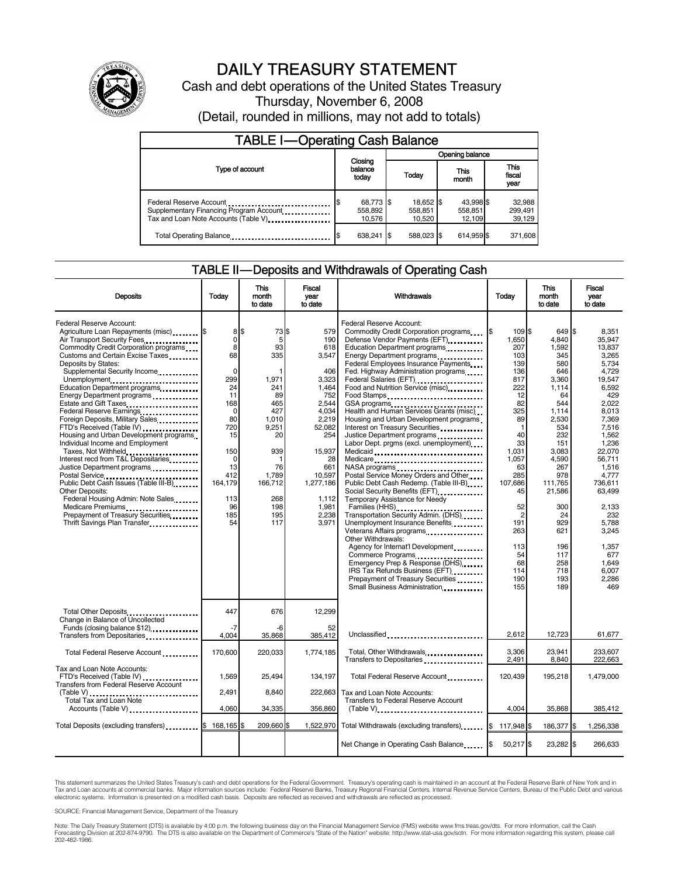

# DAILY TREASURY STATEMENT

Cash and debt operations of the United States Treasury Thursday, November 6, 2008 (Detail, rounded in millions, may not add to totals)

| <b>TABLE I-Operating Cash Balance</b>                                                                       |                                |                                |                                |                               |  |
|-------------------------------------------------------------------------------------------------------------|--------------------------------|--------------------------------|--------------------------------|-------------------------------|--|
|                                                                                                             |                                | Opening balance                |                                |                               |  |
| Type of account                                                                                             | Closing<br>balance<br>today    | Today                          | This<br>month                  | <b>This</b><br>fiscal<br>year |  |
| Federal Reserve Account<br>Supplementary Financing Program Account<br>Tax and Loan Note Accounts (Table V). | 68,773 \$<br>558.892<br>10.576 | 18,652 \$<br>558,851<br>10.520 | 43.998 \$<br>558,851<br>12.109 | 32,988<br>299,491<br>39,129   |  |
| Total Operating Balance                                                                                     | 638.241                        | 588.023 \$                     | 614.959 \$                     | 371,608                       |  |

#### TABLE II — Deposits and Withdrawals of Operating Cash

| <b>Deposits</b>                                                                                                                                                                                                                                                                                                                                                                                                                                                                                                                                                                                                                                                                                                                                                                                                        | Todav                                                                                                                                                  | <b>This</b><br>month<br>to date                                                                                                                        | <b>Fiscal</b><br>year<br>to date                                                                                                                                                         | Withdrawals                                                                                                                                                                                                                                                                                                                                                                                                                                                                                                                                                                                                                                                                                                                                                                                                                                                                                                                                                                                                                                                                                                                                                                                                                                                                                                        | Today                                                                                                                                                                                                                                               | <b>This</b><br>month<br>to date                                                                                                                                                                                                               | Fiscal<br>vear<br>to date                                                                                                                                                                                                                                                           |
|------------------------------------------------------------------------------------------------------------------------------------------------------------------------------------------------------------------------------------------------------------------------------------------------------------------------------------------------------------------------------------------------------------------------------------------------------------------------------------------------------------------------------------------------------------------------------------------------------------------------------------------------------------------------------------------------------------------------------------------------------------------------------------------------------------------------|--------------------------------------------------------------------------------------------------------------------------------------------------------|--------------------------------------------------------------------------------------------------------------------------------------------------------|------------------------------------------------------------------------------------------------------------------------------------------------------------------------------------------|--------------------------------------------------------------------------------------------------------------------------------------------------------------------------------------------------------------------------------------------------------------------------------------------------------------------------------------------------------------------------------------------------------------------------------------------------------------------------------------------------------------------------------------------------------------------------------------------------------------------------------------------------------------------------------------------------------------------------------------------------------------------------------------------------------------------------------------------------------------------------------------------------------------------------------------------------------------------------------------------------------------------------------------------------------------------------------------------------------------------------------------------------------------------------------------------------------------------------------------------------------------------------------------------------------------------|-----------------------------------------------------------------------------------------------------------------------------------------------------------------------------------------------------------------------------------------------------|-----------------------------------------------------------------------------------------------------------------------------------------------------------------------------------------------------------------------------------------------|-------------------------------------------------------------------------------------------------------------------------------------------------------------------------------------------------------------------------------------------------------------------------------------|
| Federal Reserve Account:<br>Agriculture Loan Repayments (misc) \$<br>Air Transport Security Fees<br>Commodity Credit Corporation programs<br>Customs and Certain Excise Taxes<br>Deposits by States:<br>Supplemental Security Income<br>Unemployment<br>Education Department programs<br>Energy Department programs<br>Estate and Gift Taxes<br>Federal Reserve Earnings<br>Foreign Deposits, Military Sales<br>FTD's Received (Table IV)<br>Housing and Urban Development programs<br>Individual Income and Employment<br>Taxes, Not Withheld<br>Interest recd from T&L Depositaries<br>Justice Department programs<br>Public Debt Cash Issues (Table III-B)<br><b>Other Deposits:</b><br>Federal Housing Admin: Note Sales<br>Medicare Premiums<br>Prepayment of Treasury Securities<br>Thrift Savings Plan Transfer | 8\$<br>0<br>8<br>68<br>0<br>299<br>24<br>11<br>168<br>$\Omega$<br>80<br>720<br>15<br>150<br>$\Omega$<br>13<br>412<br>164,179<br>113<br>96<br>185<br>54 | 73 \$<br>5<br>93<br>335<br>1,971<br>241<br>89<br>465<br>427<br>1,010<br>9,251<br>20<br>939<br>-1<br>76<br>1,789<br>166,712<br>268<br>198<br>195<br>117 | 579<br>190<br>618<br>3,547<br>406<br>3,323<br>1,464<br>752<br>2,544<br>4,034<br>2,219<br>52,082<br>254<br>15,937<br>28<br>661<br>10,597<br>1,277,186<br>1.112<br>1,981<br>2,238<br>3.971 | Federal Reserve Account:<br>Commodity Credit Corporation programs<br>Defense Vendor Payments (EFT)<br>Education Department programs<br>Energy Department programs<br><br>Federal Employees Insurance Payments<br>Fed. Highway Administration programs<br>Federal Salaries (EFT)<br>1991 - Production Contract Contract Contract Contract Contract Contract Contract Contract Contract Contract Contract Contract Contract Contract Contract Contract Contract Contract Contract Contract<br>Food and Nutrition Service (misc)<br>Food Stamps<br>GSA programs<br>Health and Human Services Grants (misc)<br>Housing and Urban Development programs<br>Interest on Treasury Securities<br>Justice Department programs<br>Labor Dept. prgms (excl. unemployment)<br>Medicare<br>NASA programs<br>Postal Service Money Orders and Other<br>Public Debt Cash Redemp. (Table III-B)<br>Social Security Benefits (EFT)<br>Temporary Assistance for Needy<br>Families (HHS) <b></b><br>Transportation Security Admin. (DHS)<br>Unemployment Insurance Benefits<br>Veterans Affairs programs<br><br>Other Withdrawals:<br>Agency for Internat'l Development<br>Commerce Programs<br>Emergency Prep & Response (DHS)<br>IRS Tax Refunds Business (EFT)<br>Prepayment of Treasury Securities<br>Small Business Administration | I\$<br>109 \$<br>1,650<br>207<br>103<br>139<br>136<br>817<br>222<br>12<br>82<br>325<br>89<br>$\mathbf{1}$<br>40<br>33<br>1.031<br>1,057<br>63<br>285<br>107,686<br>45<br>52<br>$\overline{2}$<br>191<br>263<br>113<br>54<br>68<br>114<br>190<br>155 | 649 \$<br>4,840<br>1,592<br>345<br>580<br>646<br>3,360<br>1,114<br>64<br>544<br>1.114<br>2,530<br>534<br>232<br>151<br>3.083<br>4,590<br>267<br>978<br>111,765<br>21,586<br>300<br>24<br>929<br>621<br>196<br>117<br>258<br>718<br>193<br>189 | 8,351<br>35,947<br>13,837<br>3.265<br>5.734<br>4.729<br>19,547<br>6.592<br>429<br>2.022<br>8.013<br>7,369<br>7,516<br>1,562<br>1.236<br>22.070<br>56,711<br>1,516<br>4,777<br>736.611<br>63,499<br>2,133<br>232<br>5,788<br>3,245<br>1,357<br>677<br>1.649<br>6.007<br>2.286<br>469 |
| Total Other Deposits<br>Change in Balance of Uncollected                                                                                                                                                                                                                                                                                                                                                                                                                                                                                                                                                                                                                                                                                                                                                               | 447<br>$-7$                                                                                                                                            | 676                                                                                                                                                    | 12,299                                                                                                                                                                                   |                                                                                                                                                                                                                                                                                                                                                                                                                                                                                                                                                                                                                                                                                                                                                                                                                                                                                                                                                                                                                                                                                                                                                                                                                                                                                                                    |                                                                                                                                                                                                                                                     |                                                                                                                                                                                                                                               |                                                                                                                                                                                                                                                                                     |
| Transfers from Depositaries                                                                                                                                                                                                                                                                                                                                                                                                                                                                                                                                                                                                                                                                                                                                                                                            | 4.004                                                                                                                                                  | -6<br>35,868                                                                                                                                           | 52<br>385,412                                                                                                                                                                            | Unclassified                                                                                                                                                                                                                                                                                                                                                                                                                                                                                                                                                                                                                                                                                                                                                                                                                                                                                                                                                                                                                                                                                                                                                                                                                                                                                                       | 2,612                                                                                                                                                                                                                                               | 12,723                                                                                                                                                                                                                                        | 61,677                                                                                                                                                                                                                                                                              |
| Total Federal Reserve Account                                                                                                                                                                                                                                                                                                                                                                                                                                                                                                                                                                                                                                                                                                                                                                                          | 170,600                                                                                                                                                | 220,033                                                                                                                                                | 1,774,185                                                                                                                                                                                | Total, Other Withdrawals<br>Transfers to Depositaries                                                                                                                                                                                                                                                                                                                                                                                                                                                                                                                                                                                                                                                                                                                                                                                                                                                                                                                                                                                                                                                                                                                                                                                                                                                              | 3,306<br>2,491                                                                                                                                                                                                                                      | 23,941<br>8,840                                                                                                                                                                                                                               | 233,607<br>222,663                                                                                                                                                                                                                                                                  |
| Tax and Loan Note Accounts:<br>FTD's Received (Table IV)<br>Transfers from Federal Reserve Account                                                                                                                                                                                                                                                                                                                                                                                                                                                                                                                                                                                                                                                                                                                     | 1.569                                                                                                                                                  | 25.494                                                                                                                                                 | 134.197                                                                                                                                                                                  | Total Federal Reserve Account                                                                                                                                                                                                                                                                                                                                                                                                                                                                                                                                                                                                                                                                                                                                                                                                                                                                                                                                                                                                                                                                                                                                                                                                                                                                                      | 120.439                                                                                                                                                                                                                                             | 195,218                                                                                                                                                                                                                                       | 1,479,000                                                                                                                                                                                                                                                                           |
| $(Table V)$<br><b>Total Tax and Loan Note</b>                                                                                                                                                                                                                                                                                                                                                                                                                                                                                                                                                                                                                                                                                                                                                                          | 2,491                                                                                                                                                  | 8,840                                                                                                                                                  | 222,663                                                                                                                                                                                  | Tax and Loan Note Accounts:<br>Transfers to Federal Reserve Account                                                                                                                                                                                                                                                                                                                                                                                                                                                                                                                                                                                                                                                                                                                                                                                                                                                                                                                                                                                                                                                                                                                                                                                                                                                |                                                                                                                                                                                                                                                     |                                                                                                                                                                                                                                               |                                                                                                                                                                                                                                                                                     |
| Accounts (Table V)                                                                                                                                                                                                                                                                                                                                                                                                                                                                                                                                                                                                                                                                                                                                                                                                     | 4.060                                                                                                                                                  | 34,335                                                                                                                                                 | 356,860                                                                                                                                                                                  |                                                                                                                                                                                                                                                                                                                                                                                                                                                                                                                                                                                                                                                                                                                                                                                                                                                                                                                                                                                                                                                                                                                                                                                                                                                                                                                    | 4.004                                                                                                                                                                                                                                               | 35,868                                                                                                                                                                                                                                        | 385,412                                                                                                                                                                                                                                                                             |
| Total Deposits (excluding transfers)                                                                                                                                                                                                                                                                                                                                                                                                                                                                                                                                                                                                                                                                                                                                                                                   | 168.165 \$                                                                                                                                             | 209.660 \$                                                                                                                                             | 1.522.970                                                                                                                                                                                | Total Withdrawals (excluding transfers) 8 117,948                                                                                                                                                                                                                                                                                                                                                                                                                                                                                                                                                                                                                                                                                                                                                                                                                                                                                                                                                                                                                                                                                                                                                                                                                                                                  |                                                                                                                                                                                                                                                     | 186,377                                                                                                                                                                                                                                       | Ŝ.<br>1,256,338                                                                                                                                                                                                                                                                     |
|                                                                                                                                                                                                                                                                                                                                                                                                                                                                                                                                                                                                                                                                                                                                                                                                                        |                                                                                                                                                        |                                                                                                                                                        |                                                                                                                                                                                          | Net Change in Operating Cash Balance                                                                                                                                                                                                                                                                                                                                                                                                                                                                                                                                                                                                                                                                                                                                                                                                                                                                                                                                                                                                                                                                                                                                                                                                                                                                               | 50,217 \$                                                                                                                                                                                                                                           | 23,282 \$                                                                                                                                                                                                                                     | 266,633                                                                                                                                                                                                                                                                             |

This statement summarizes the United States Treasury's cash and debt operations for the Federal Government. Treasury's operating cash is maintained in an account at the Federal Reserve Bank of New York and in<br>Tax and Loan

SOURCE: Financial Management Service, Department of the Treasury

Note: The Daily Treasury Statement (DTS) is available by 4:00 p.m. the following business day on the Financial Management Service (FMS) website www.fms.treas.gov/dts. For more information, call the Cash<br>Forecasting Divisio eas.gov/dts. F<br>For more infor